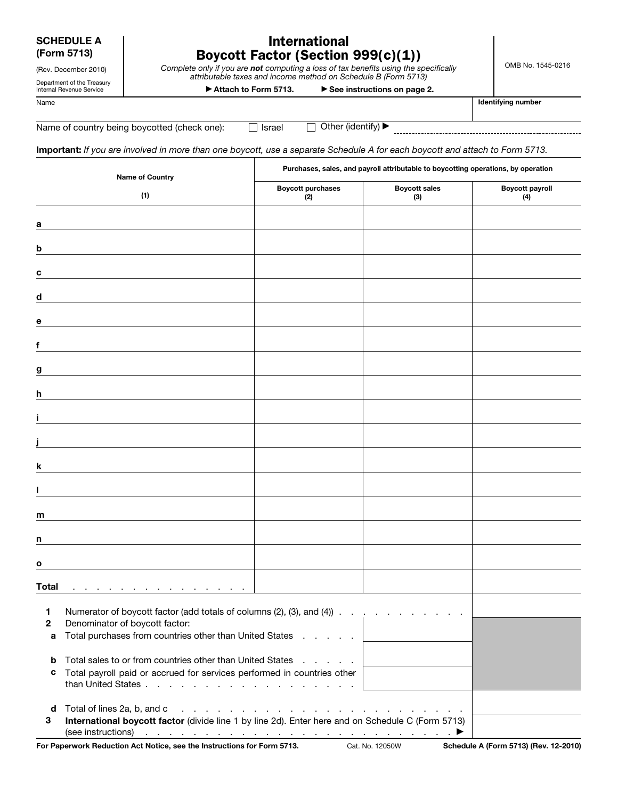SCHEDULE A (Form 5713)

# International Boycott Factor (Section 999(c)(1))

*Complete only if you are not computing a loss of tax benefits using the specifically attributable taxes and income method on Schedule B (Form 5713)* 

OMB No. 1545-0216

(Rev. December 2010) Department of the Treasury Internal Revenue Service

▶ Attach to Form 5713. ▶ See instructions on page 2.

Name **Intervention and the Contract of Contract Contract of Contract Contract Contract Contract Contract Contract Contract Contract Contract Contract Contract Contract Contract Contract Contract Contract Contract Contract** 

Name of country being boycotted (check one):  $\Box$  Israel  $\Box$  Other (identify)  $\blacktriangleright$ 

Important: *If you are involved in more than one boycott, use a separate Schedule A for each boycott and attach to Form 5713.* 

|                       | <b>Name of Country</b>                                                                                                                                                                                                                                                                                                                                                                                                                          | Purchases, sales, and payroll attributable to boycotting operations, by operation |                             |                               |
|-----------------------|-------------------------------------------------------------------------------------------------------------------------------------------------------------------------------------------------------------------------------------------------------------------------------------------------------------------------------------------------------------------------------------------------------------------------------------------------|-----------------------------------------------------------------------------------|-----------------------------|-------------------------------|
|                       | (1)                                                                                                                                                                                                                                                                                                                                                                                                                                             | <b>Boycott purchases</b><br>(2)                                                   | <b>Boycott sales</b><br>(3) | <b>Boycott payroll</b><br>(4) |
| а                     |                                                                                                                                                                                                                                                                                                                                                                                                                                                 |                                                                                   |                             |                               |
| b                     |                                                                                                                                                                                                                                                                                                                                                                                                                                                 |                                                                                   |                             |                               |
| c                     |                                                                                                                                                                                                                                                                                                                                                                                                                                                 |                                                                                   |                             |                               |
| d                     |                                                                                                                                                                                                                                                                                                                                                                                                                                                 |                                                                                   |                             |                               |
| е                     |                                                                                                                                                                                                                                                                                                                                                                                                                                                 |                                                                                   |                             |                               |
|                       |                                                                                                                                                                                                                                                                                                                                                                                                                                                 |                                                                                   |                             |                               |
| g                     |                                                                                                                                                                                                                                                                                                                                                                                                                                                 |                                                                                   |                             |                               |
| h                     |                                                                                                                                                                                                                                                                                                                                                                                                                                                 |                                                                                   |                             |                               |
|                       |                                                                                                                                                                                                                                                                                                                                                                                                                                                 |                                                                                   |                             |                               |
| k                     |                                                                                                                                                                                                                                                                                                                                                                                                                                                 |                                                                                   |                             |                               |
|                       |                                                                                                                                                                                                                                                                                                                                                                                                                                                 |                                                                                   |                             |                               |
| m                     |                                                                                                                                                                                                                                                                                                                                                                                                                                                 |                                                                                   |                             |                               |
| n                     |                                                                                                                                                                                                                                                                                                                                                                                                                                                 |                                                                                   |                             |                               |
| $\mathbf{o}$          |                                                                                                                                                                                                                                                                                                                                                                                                                                                 |                                                                                   |                             |                               |
| <b>Total</b>          |                                                                                                                                                                                                                                                                                                                                                                                                                                                 |                                                                                   |                             |                               |
| $\mathbf 1$<br>2<br>a | Numerator of boycott factor (add totals of columns (2), (3), and (4))<br>Denominator of boycott factor:<br>Total purchases from countries other than United States                                                                                                                                                                                                                                                                              |                                                                                   |                             |                               |
| b<br>с                | Total sales to or from countries other than United States<br>and the company of the second<br>Total payroll paid or accrued for services performed in countries other<br>than United States                                                                                                                                                                                                                                                     |                                                                                   |                             |                               |
| d<br>3                | Total of lines 2a, b, and c<br>and the contract of the contract of the contract of the contract of<br>International boycott factor (divide line 1 by line 2d). Enter here and on Schedule C (Form 5713)<br>(see instructions) $\cdots$ $\cdots$ $\cdots$ $\cdots$ $\cdots$ $\cdots$ $\cdots$ $\cdots$ $\cdots$<br>For Paperwork Reduction Act Notice, see the Instructions for Form 5713. Cat. No. 12050W Schedule A (Form 5713) (Rev. 12-2010) |                                                                                   |                             |                               |